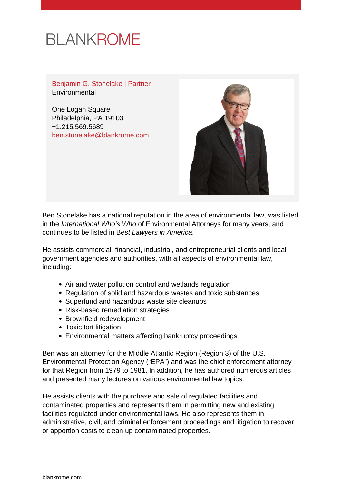# **BLANKROME**

Benjamin G. Stonelake | Partner **Environmental** 

One Logan Square Philadelphia, PA 19103 +1.215.569.5689 [ben.stonelake@blankrome.com](mailto:ben.stonelake@blankrome.com)



Ben Stonelake has a national reputation in the area of environmental law, was listed in the International Who's Who of Environmental Attorneys for many years, and continues to be listed in Best Lawyers in America.

He assists commercial, financial, industrial, and entrepreneurial clients and local government agencies and authorities, with all aspects of environmental law, including:

- Air and water pollution control and wetlands regulation
- Regulation of solid and hazardous wastes and toxic substances
- Superfund and hazardous waste site cleanups
- Risk-based remediation strategies
- Brownfield redevelopment
- Toxic tort litigation
- Environmental matters affecting bankruptcy proceedings

Ben was an attorney for the Middle Atlantic Region (Region 3) of the U.S. Environmental Protection Agency ("EPA") and was the chief enforcement attorney for that Region from 1979 to 1981. In addition, he has authored numerous articles and presented many lectures on various environmental law topics.

He assists clients with the purchase and sale of regulated facilities and contaminated properties and represents them in permitting new and existing facilities regulated under environmental laws. He also represents them in administrative, civil, and criminal enforcement proceedings and litigation to recover or apportion costs to clean up contaminated properties.